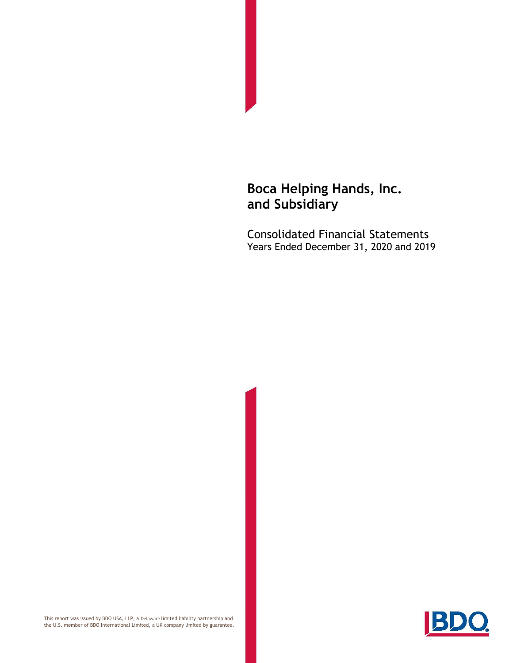# **Boca Helping Hands, Inc. and Subsidiary**

Consolidated Financial Statements Years Ended December 31, 2020 and 2019



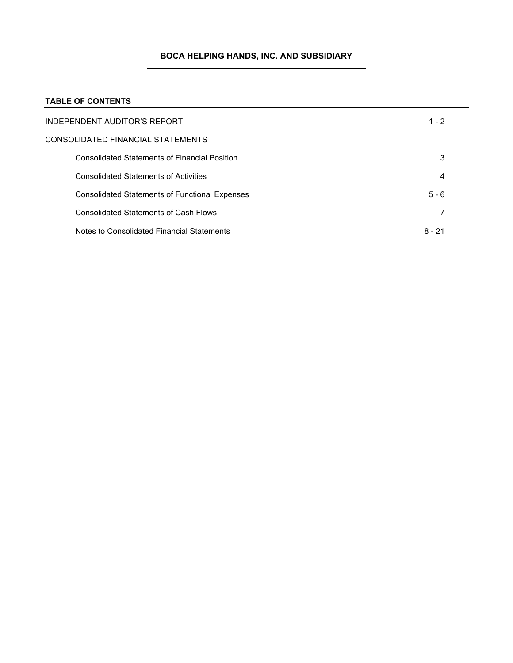#### **TABLE OF CONTENTS**

| INDEPENDENT AUDITOR'S REPORT                          | $1 - 2$  |  |
|-------------------------------------------------------|----------|--|
| CONSOLIDATED FINANCIAL STATEMENTS                     |          |  |
| Consolidated Statements of Financial Position         | 3        |  |
| Consolidated Statements of Activities                 | 4        |  |
| <b>Consolidated Statements of Functional Expenses</b> | $5 - 6$  |  |
| <b>Consolidated Statements of Cash Flows</b>          |          |  |
| Notes to Consolidated Financial Statements            | $8 - 21$ |  |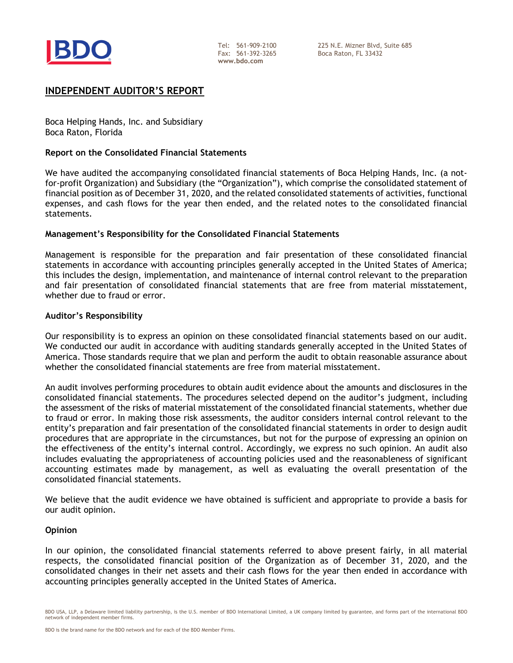

225 N.E. Mizner Blvd, Suite 685 Boca Raton, FL 33432

## **INDEPENDENT AUDITOR'S REPORT**

Boca Helping Hands, Inc. and Subsidiary Boca Raton, Florida

#### **Report on the Consolidated Financial Statements**

We have audited the accompanying consolidated financial statements of Boca Helping Hands, Inc. (a notfor-profit Organization) and Subsidiary (the "Organization"), which comprise the consolidated statement of financial position as of December 31, 2020, and the related consolidated statements of activities, functional expenses, and cash flows for the year then ended, and the related notes to the consolidated financial statements.

#### **Management's Responsibility for the Consolidated Financial Statements**

Management is responsible for the preparation and fair presentation of these consolidated financial statements in accordance with accounting principles generally accepted in the United States of America; this includes the design, implementation, and maintenance of internal control relevant to the preparation and fair presentation of consolidated financial statements that are free from material misstatement, whether due to fraud or error.

#### **Auditor's Responsibility**

Our responsibility is to express an opinion on these consolidated financial statements based on our audit. We conducted our audit in accordance with auditing standards generally accepted in the United States of America. Those standards require that we plan and perform the audit to obtain reasonable assurance about whether the consolidated financial statements are free from material misstatement.

An audit involves performing procedures to obtain audit evidence about the amounts and disclosures in the consolidated financial statements. The procedures selected depend on the auditor's judgment, including the assessment of the risks of material misstatement of the consolidated financial statements, whether due to fraud or error. In making those risk assessments, the auditor considers internal control relevant to the entity's preparation and fair presentation of the consolidated financial statements in order to design audit procedures that are appropriate in the circumstances, but not for the purpose of expressing an opinion on the effectiveness of the entity's internal control. Accordingly, we express no such opinion. An audit also includes evaluating the appropriateness of accounting policies used and the reasonableness of significant accounting estimates made by management, as well as evaluating the overall presentation of the consolidated financial statements.

We believe that the audit evidence we have obtained is sufficient and appropriate to provide a basis for our audit opinion.

#### **Opinion**

In our opinion, the consolidated financial statements referred to above present fairly, in all material respects, the consolidated financial position of the Organization as of December 31, 2020, and the consolidated changes in their net assets and their cash flows for the year then ended in accordance with accounting principles generally accepted in the United States of America.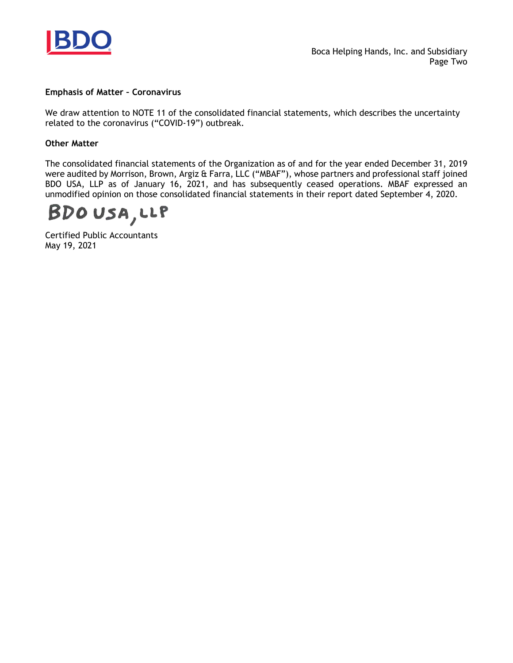

### **Emphasis of Matter – Coronavirus**

We draw attention to NOTE 11 of the consolidated financial statements, which describes the uncertainty related to the coronavirus ("COVID-19") outbreak.

#### **Other Matter**

The consolidated financial statements of the Organization as of and for the year ended December 31, 2019 were audited by Morrison, Brown, Argiz & Farra, LLC ("MBAF"), whose partners and professional staff joined BDO USA, LLP as of January 16, 2021, and has subsequently ceased operations. MBAF expressed an unmodified opinion on those consolidated financial statements in their report dated September 4, 2020.



Certified Public Accountants May 19, 2021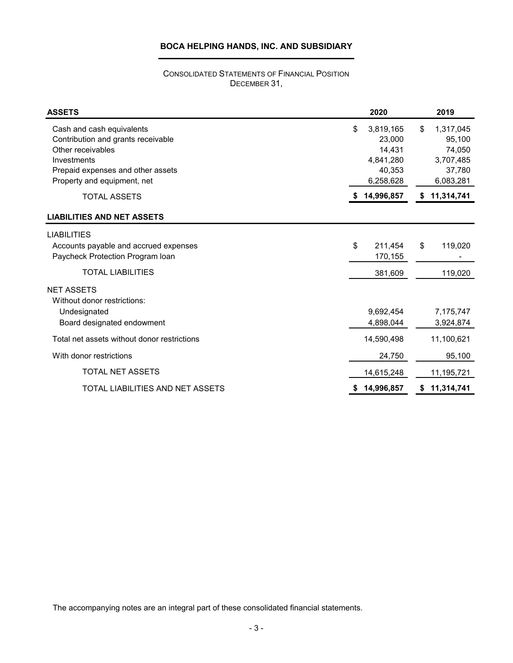#### CONSOLIDATED STATEMENTS OF FINANCIAL POSITION DECEMBER 31,

| <b>ASSETS</b>                                                                                       | 2020                                             | 2019                                             |
|-----------------------------------------------------------------------------------------------------|--------------------------------------------------|--------------------------------------------------|
| Cash and cash equivalents<br>Contribution and grants receivable<br>Other receivables<br>Investments | \$<br>3,819,165<br>23,000<br>14,431<br>4,841,280 | \$<br>1,317,045<br>95,100<br>74,050<br>3,707,485 |
| Prepaid expenses and other assets<br>Property and equipment, net                                    | 40,353<br>6,258,628                              | 37,780<br>6,083,281                              |
| <b>TOTAL ASSETS</b>                                                                                 | 14,996,857                                       | 11,314,741<br>S.                                 |
| <b>LIABILITIES AND NET ASSETS</b>                                                                   |                                                  |                                                  |
| <b>LIABILITIES</b><br>Accounts payable and accrued expenses<br>Paycheck Protection Program Ioan     | \$<br>211,454<br>170,155                         | \$<br>119,020                                    |
| <b>TOTAL LIABILITIES</b>                                                                            | 381,609                                          | 119,020                                          |
| <b>NET ASSETS</b><br>Without donor restrictions:<br>Undesignated<br>Board designated endowment      | 9,692,454<br>4,898,044                           | 7,175,747<br>3,924,874                           |
| Total net assets without donor restrictions                                                         | 14,590,498                                       | 11,100,621                                       |
| With donor restrictions                                                                             | 24,750                                           | 95,100                                           |
| <b>TOTAL NET ASSETS</b>                                                                             | 14,615,248                                       | 11,195,721                                       |
| TOTAL LIABILITIES AND NET ASSETS                                                                    | 14,996,857<br>\$                                 | 11,314,741<br>\$                                 |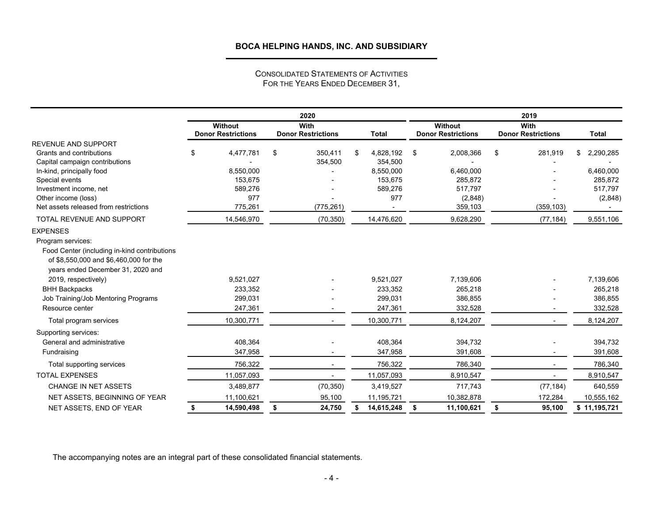CONSOLIDATED STATEMENTS OF ACTIVITIESFOR THE YEARS ENDED DECEMBER 31,

|                                                        |                           | 2020                      |                  | 2019 |                           |    |                           |    |              |  |
|--------------------------------------------------------|---------------------------|---------------------------|------------------|------|---------------------------|----|---------------------------|----|--------------|--|
|                                                        | <b>Without</b>            | <b>With</b>               |                  |      | Without                   |    | With                      |    |              |  |
|                                                        | <b>Donor Restrictions</b> | <b>Donor Restrictions</b> | <b>Total</b>     |      | <b>Donor Restrictions</b> |    | <b>Donor Restrictions</b> |    | <b>Total</b> |  |
| <b>REVENUE AND SUPPORT</b><br>Grants and contributions | 4,477,781                 | \$<br>350,411             | \$<br>4,828,192  |      | 2,008,366                 | \$ | 281,919                   |    | 2,290,285    |  |
| Capital campaign contributions                         | \$                        | 354,500                   | 354,500          | \$   |                           |    |                           | \$ |              |  |
| In-kind, principally food                              | 8,550,000                 |                           | 8,550,000        |      | 6,460,000                 |    |                           |    | 6,460,000    |  |
| Special events                                         | 153.675                   |                           | 153.675          |      | 285.872                   |    |                           |    | 285.872      |  |
| Investment income, net                                 | 589,276                   |                           | 589,276          |      | 517,797                   |    |                           |    | 517,797      |  |
| Other income (loss)                                    | 977                       |                           | 977              |      | (2,848)                   |    |                           |    | (2,848)      |  |
| Net assets released from restrictions                  | 775,261                   | (775, 261)                |                  |      | 359,103                   |    | (359, 103)                |    |              |  |
| <b>TOTAL REVENUE AND SUPPORT</b>                       | 14,546,970                | (70, 350)                 | 14,476,620       |      | 9,628,290                 |    | (77, 184)                 |    | 9,551,106    |  |
| <b>EXPENSES</b>                                        |                           |                           |                  |      |                           |    |                           |    |              |  |
| Program services:                                      |                           |                           |                  |      |                           |    |                           |    |              |  |
| Food Center (including in-kind contributions           |                           |                           |                  |      |                           |    |                           |    |              |  |
| of \$8,550,000 and \$6,460,000 for the                 |                           |                           |                  |      |                           |    |                           |    |              |  |
| years ended December 31, 2020 and                      |                           |                           |                  |      |                           |    |                           |    |              |  |
| 2019, respectively)                                    | 9,521,027                 |                           | 9,521,027        |      | 7,139,606                 |    |                           |    | 7,139,606    |  |
| <b>BHH Backpacks</b>                                   | 233,352                   |                           | 233,352          |      | 265,218                   |    |                           |    | 265,218      |  |
| Job Training/Job Mentoring Programs                    | 299,031                   |                           | 299,031          |      | 386,855                   |    |                           |    | 386,855      |  |
| Resource center                                        | 247,361                   |                           | 247,361          |      | 332,528                   |    |                           |    | 332,528      |  |
| Total program services                                 | 10,300,771                |                           | 10,300,771       |      | 8,124,207                 |    | $\overline{\phantom{a}}$  |    | 8,124,207    |  |
| Supporting services:                                   |                           |                           |                  |      |                           |    |                           |    |              |  |
| General and administrative                             | 408,364                   |                           | 408,364          |      | 394,732                   |    |                           |    | 394,732      |  |
| Fundraising                                            | 347,958                   |                           | 347,958          |      | 391,608                   |    | $\overline{\phantom{a}}$  |    | 391,608      |  |
| Total supporting services                              | 756,322                   |                           | 756,322          |      | 786,340                   |    | ٠                         |    | 786,340      |  |
| <b>TOTAL EXPENSES</b>                                  | 11,057,093                |                           | 11,057,093       |      | 8,910,547                 |    |                           |    | 8,910,547    |  |
| <b>CHANGE IN NET ASSETS</b>                            | 3,489,877                 | (70, 350)                 | 3,419,527        |      | 717,743                   |    | (77, 184)                 |    | 640,559      |  |
| NET ASSETS, BEGINNING OF YEAR                          | 11,100,621                | 95,100                    | 11,195,721       |      | 10,382,878                |    | 172,284                   |    | 10,555,162   |  |
| NET ASSETS, END OF YEAR                                | \$<br>14,590,498          | \$<br>24,750              | \$<br>14,615,248 | \$   | 11,100,621                | \$ | 95,100                    |    | \$11,195,721 |  |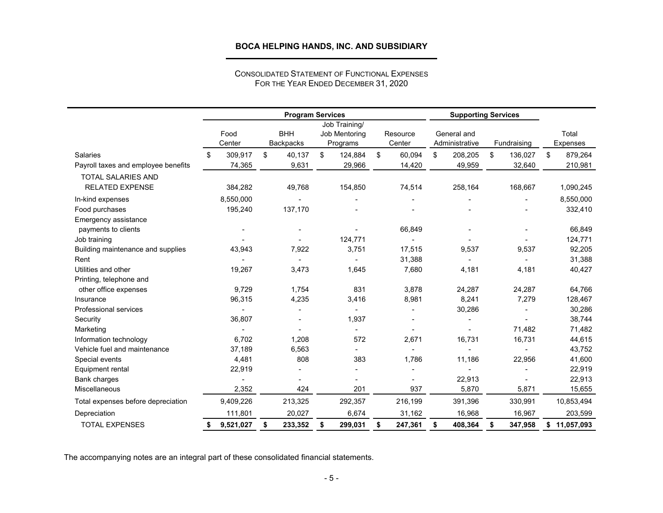#### CONSOLIDATED STATEMENT OF FUNCTIONAL EXPENSESFOR THE YEAR ENDED DECEMBER 31, 2020

|                                     | <b>Program Services</b> |    |                         |    |                                            |    |                    | <b>Supporting Services</b> |                               |    |             |                   |
|-------------------------------------|-------------------------|----|-------------------------|----|--------------------------------------------|----|--------------------|----------------------------|-------------------------------|----|-------------|-------------------|
|                                     | Food<br>Center          |    | <b>BHH</b><br>Backpacks |    | Job Training/<br>Job Mentoring<br>Programs |    | Resource<br>Center |                            | General and<br>Administrative |    | Fundraising | Total<br>Expenses |
| <b>Salaries</b>                     | \$<br>309,917           | \$ | 40,137                  | \$ | 124,884                                    | \$ | 60.094             | \$                         | 208,205                       | \$ | 136,027     | \$<br>879,264     |
| Payroll taxes and employee benefits | 74,365                  |    | 9,631                   |    | 29,966                                     |    | 14,420             |                            | 49,959                        |    | 32,640      | 210,981           |
| <b>TOTAL SALARIES AND</b>           |                         |    |                         |    |                                            |    |                    |                            |                               |    |             |                   |
| <b>RELATED EXPENSE</b>              | 384,282                 |    | 49,768                  |    | 154,850                                    |    | 74,514             |                            | 258,164                       |    | 168,667     | 1,090,245         |
| In-kind expenses                    | 8,550,000               |    |                         |    |                                            |    |                    |                            |                               |    |             | 8,550,000         |
| Food purchases                      | 195,240                 |    | 137,170                 |    |                                            |    |                    |                            |                               |    |             | 332,410           |
| Emergency assistance                |                         |    |                         |    |                                            |    |                    |                            |                               |    |             |                   |
| payments to clients                 |                         |    |                         |    |                                            |    | 66,849             |                            |                               |    |             | 66,849            |
| Job training                        |                         |    |                         |    | 124,771                                    |    |                    |                            |                               |    |             | 124,771           |
| Building maintenance and supplies   | 43,943                  |    | 7,922                   |    | 3,751                                      |    | 17,515             |                            | 9,537                         |    | 9,537       | 92,205            |
| Rent                                |                         |    |                         |    |                                            |    | 31,388             |                            |                               |    |             | 31,388            |
| Utilities and other                 | 19,267                  |    | 3,473                   |    | 1,645                                      |    | 7,680              |                            | 4,181                         |    | 4,181       | 40,427            |
| Printing, telephone and             |                         |    |                         |    |                                            |    |                    |                            |                               |    |             |                   |
| other office expenses               | 9,729                   |    | 1,754                   |    | 831                                        |    | 3,878              |                            | 24,287                        |    | 24,287      | 64,766            |
| Insurance                           | 96,315                  |    | 4,235                   |    | 3,416                                      |    | 8,981              |                            | 8,241                         |    | 7,279       | 128,467           |
| <b>Professional services</b>        |                         |    |                         |    |                                            |    |                    |                            | 30,286                        |    |             | 30,286            |
| Security                            | 36,807                  |    |                         |    | 1,937                                      |    |                    |                            |                               |    |             | 38,744            |
| Marketing                           |                         |    |                         |    |                                            |    |                    |                            |                               |    | 71,482      | 71,482            |
| Information technology              | 6.702                   |    | 1,208                   |    | 572                                        |    | 2,671              |                            | 16,731                        |    | 16,731      | 44,615            |
| Vehicle fuel and maintenance        | 37,189                  |    | 6,563                   |    |                                            |    |                    |                            |                               |    |             | 43,752            |
| Special events                      | 4,481                   |    | 808                     |    | 383                                        |    | 1,786              |                            | 11,186                        |    | 22,956      | 41,600            |
| Equipment rental                    | 22,919                  |    |                         |    |                                            |    |                    |                            |                               |    |             | 22,919            |
| <b>Bank charges</b>                 |                         |    |                         |    |                                            |    |                    |                            | 22,913                        |    |             | 22,913            |
| Miscellaneous                       | 2,352                   |    | 424                     |    | 201                                        |    | 937                |                            | 5,870                         |    | 5,871       | 15,655            |
| Total expenses before depreciation  | 9,409,226               |    | 213,325                 |    | 292,357                                    |    | 216,199            |                            | 391,396                       |    | 330,991     | 10,853,494        |
| Depreciation                        | 111,801                 |    | 20,027                  |    | 6,674                                      |    | 31,162             |                            | 16,968                        |    | 16,967      | 203,599           |
| <b>TOTAL EXPENSES</b>               | \$<br>9,521,027         | \$ | 233,352                 | \$ | 299,031                                    | \$ | 247,361            | \$                         | 408,364                       | \$ | 347,958     | \$11,057,093      |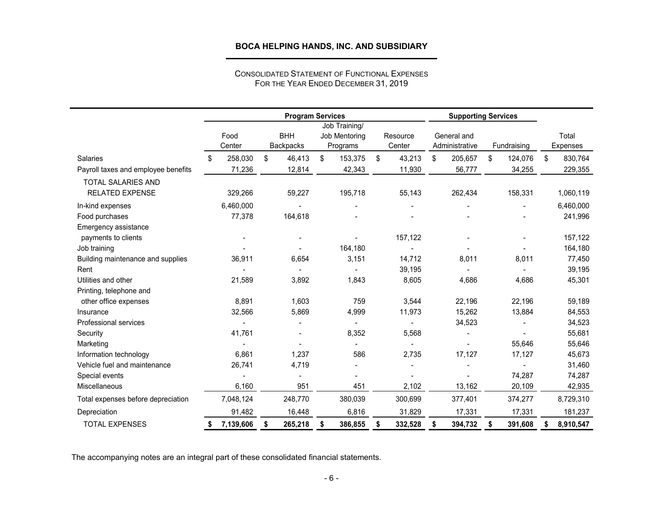#### CONSOLIDATED STATEMENT OF FUNCTIONAL EXPENSESFOR THE YEAR ENDED DECEMBER 31, 2019

|                                                     | <b>Program Services</b> |    |                                |    |                                            |    |                    | <b>Supporting Services</b> |                               |    |             |    |                          |
|-----------------------------------------------------|-------------------------|----|--------------------------------|----|--------------------------------------------|----|--------------------|----------------------------|-------------------------------|----|-------------|----|--------------------------|
|                                                     | Food<br>Center          |    | <b>BHH</b><br><b>Backpacks</b> |    | Job Training/<br>Job Mentoring<br>Programs |    | Resource<br>Center |                            | General and<br>Administrative |    | Fundraising |    | Total<br><b>Expenses</b> |
| <b>Salaries</b>                                     | \$<br>258,030           | \$ | 46,413                         | \$ | 153,375                                    | \$ | 43,213             | \$                         | 205,657                       | \$ | 124,076     | \$ | 830,764                  |
| Payroll taxes and employee benefits                 | 71,236                  |    | 12,814                         |    | 42,343                                     |    | 11,930             |                            | 56,777                        |    | 34,255      |    | 229,355                  |
| <b>TOTAL SALARIES AND</b><br><b>RELATED EXPENSE</b> | 329,266                 |    | 59,227                         |    | 195,718                                    |    | 55,143             |                            | 262,434                       |    | 158,331     |    | 1,060,119                |
| In-kind expenses                                    | 6,460,000               |    |                                |    |                                            |    |                    |                            |                               |    |             |    | 6,460,000                |
| Food purchases                                      | 77,378                  |    | 164,618                        |    |                                            |    |                    |                            |                               |    |             |    | 241,996                  |
| Emergency assistance                                |                         |    |                                |    |                                            |    |                    |                            |                               |    |             |    |                          |
| payments to clients                                 |                         |    |                                |    |                                            |    | 157,122            |                            |                               |    |             |    | 157,122                  |
| Job training                                        |                         |    |                                |    | 164,180                                    |    |                    |                            |                               |    |             |    | 164,180                  |
| Building maintenance and supplies                   | 36,911                  |    | 6,654                          |    | 3,151                                      |    | 14,712             |                            | 8,011                         |    | 8,011       |    | 77,450                   |
| Rent                                                |                         |    |                                |    |                                            |    | 39,195             |                            |                               |    |             |    | 39,195                   |
| Utilities and other                                 | 21,589                  |    | 3,892                          |    | 1,843                                      |    | 8,605              |                            | 4,686                         |    | 4,686       |    | 45,301                   |
| Printing, telephone and                             |                         |    |                                |    |                                            |    |                    |                            |                               |    |             |    |                          |
| other office expenses                               | 8,891                   |    | 1,603                          |    | 759                                        |    | 3,544              |                            | 22,196                        |    | 22,196      |    | 59,189                   |
| Insurance                                           | 32,566                  |    | 5,869                          |    | 4,999                                      |    | 11,973             |                            | 15,262                        |    | 13,884      |    | 84,553                   |
| Professional services                               |                         |    |                                |    |                                            |    |                    |                            | 34,523                        |    |             |    | 34,523                   |
| Security                                            | 41,761                  |    |                                |    | 8,352                                      |    | 5,568              |                            |                               |    |             |    | 55,681                   |
| Marketing                                           |                         |    |                                |    |                                            |    |                    |                            |                               |    | 55,646      |    | 55,646                   |
| Information technology                              | 6,861                   |    | 1,237                          |    | 586                                        |    | 2,735              |                            | 17,127                        |    | 17,127      |    | 45,673                   |
| Vehicle fuel and maintenance                        | 26,741                  |    | 4,719                          |    |                                            |    |                    |                            |                               |    |             |    | 31,460                   |
| Special events                                      |                         |    |                                |    |                                            |    |                    |                            |                               |    | 74,287      |    | 74,287                   |
| Miscellaneous                                       | 6,160                   |    | 951                            |    | 451                                        |    | 2,102              |                            | 13,162                        |    | 20,109      |    | 42,935                   |
| Total expenses before depreciation                  | 7,048,124               |    | 248,770                        |    | 380,039                                    |    | 300,699            |                            | 377,401                       |    | 374,277     |    | 8,729,310                |
| Depreciation                                        | 91,482                  |    | 16,448                         |    | 6,816                                      |    | 31,829             |                            | 17,331                        |    | 17,331      |    | 181,237                  |
| <b>TOTAL EXPENSES</b>                               | \$<br>7,139,606         | \$ | 265,218                        | \$ | 386,855                                    | \$ | 332,528            | \$                         | 394,732                       | \$ | 391,608     | S  | 8,910,547                |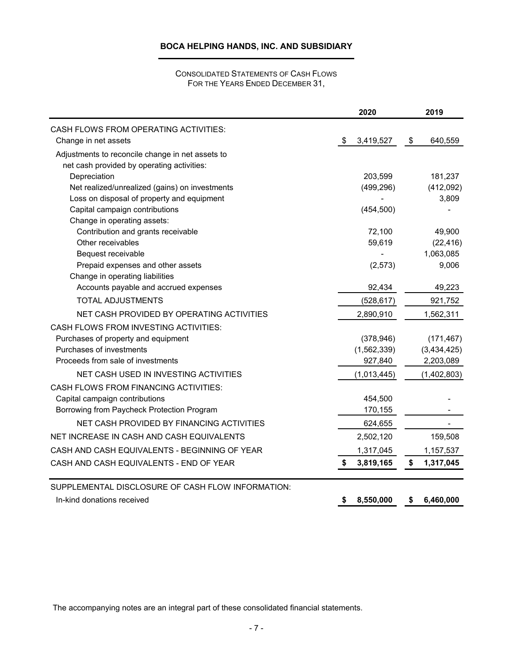#### CONSOLIDATED STATEMENTS OF CASH FLOWS FOR THE YEARS ENDED DECEMBER 31,

|                                                   | 2020              | 2019            |
|---------------------------------------------------|-------------------|-----------------|
| CASH FLOWS FROM OPERATING ACTIVITIES:             |                   |                 |
| Change in net assets                              | 3,419,527<br>- \$ | 640,559<br>-\$  |
| Adjustments to reconcile change in net assets to  |                   |                 |
| net cash provided by operating activities:        |                   |                 |
| Depreciation                                      | 203,599           | 181,237         |
| Net realized/unrealized (gains) on investments    | (499, 296)        | (412,092)       |
| Loss on disposal of property and equipment        |                   | 3,809           |
| Capital campaign contributions                    | (454, 500)        |                 |
| Change in operating assets:                       |                   |                 |
| Contribution and grants receivable                | 72,100            | 49,900          |
| Other receivables                                 | 59,619            | (22, 416)       |
| Bequest receivable                                |                   | 1,063,085       |
| Prepaid expenses and other assets                 | (2,573)           | 9,006           |
| Change in operating liabilities                   |                   |                 |
| Accounts payable and accrued expenses             | 92,434            | 49,223          |
| <b>TOTAL ADJUSTMENTS</b>                          | (528, 617)        | 921,752         |
| NET CASH PROVIDED BY OPERATING ACTIVITIES         | 2,890,910         | 1,562,311       |
| CASH FLOWS FROM INVESTING ACTIVITIES:             |                   |                 |
| Purchases of property and equipment               | (378, 946)        | (171, 467)      |
| Purchases of investments                          | (1,562,339)       | (3,434,425)     |
| Proceeds from sale of investments                 | 927,840           | 2,203,089       |
| NET CASH USED IN INVESTING ACTIVITIES             | (1,013,445)       | (1,402,803)     |
| CASH FLOWS FROM FINANCING ACTIVITIES:             |                   |                 |
| Capital campaign contributions                    | 454,500           |                 |
| Borrowing from Paycheck Protection Program        | 170,155           |                 |
| NET CASH PROVIDED BY FINANCING ACTIVITIES         | 624,655           |                 |
| NET INCREASE IN CASH AND CASH EQUIVALENTS         | 2,502,120         | 159,508         |
| CASH AND CASH EQUIVALENTS - BEGINNING OF YEAR     | 1,317,045         | 1,157,537       |
| CASH AND CASH EQUIVALENTS - END OF YEAR           | 3,819,165<br>S    | 1,317,045<br>\$ |
|                                                   |                   |                 |
| SUPPLEMENTAL DISCLOSURE OF CASH FLOW INFORMATION: |                   |                 |
| In-kind donations received                        | 8,550,000<br>\$   | 6,460,000<br>\$ |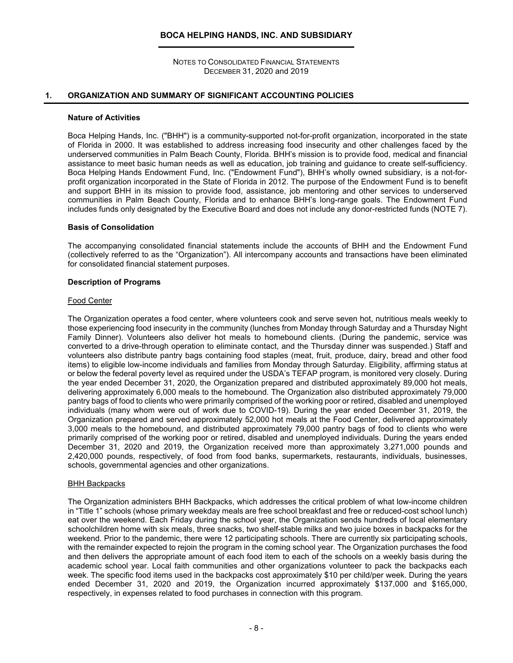NOTES TO CONSOLIDATED FINANCIAL STATEMENTS DECEMBER 31, 2020 and 2019

#### **1. ORGANIZATION AND SUMMARY OF SIGNIFICANT ACCOUNTING POLICIES**

#### **Nature of Activities**

Boca Helping Hands, Inc. ("BHH") is a community-supported not-for-profit organization, incorporated in the state of Florida in 2000. It was established to address increasing food insecurity and other challenges faced by the underserved communities in Palm Beach County, Florida. BHH's mission is to provide food, medical and financial assistance to meet basic human needs as well as education, job training and guidance to create self-sufficiency. Boca Helping Hands Endowment Fund, Inc. ("Endowment Fund"), BHH's wholly owned subsidiary, is a not-forprofit organization incorporated in the State of Florida in 2012. The purpose of the Endowment Fund is to benefit and support BHH in its mission to provide food, assistance, job mentoring and other services to underserved communities in Palm Beach County, Florida and to enhance BHH's long-range goals. The Endowment Fund includes funds only designated by the Executive Board and does not include any donor-restricted funds (NOTE 7).

#### **Basis of Consolidation**

The accompanying consolidated financial statements include the accounts of BHH and the Endowment Fund (collectively referred to as the "Organization"). All intercompany accounts and transactions have been eliminated for consolidated financial statement purposes.

#### **Description of Programs**

#### Food Center

The Organization operates a food center, where volunteers cook and serve seven hot, nutritious meals weekly to those experiencing food insecurity in the community (lunches from Monday through Saturday and a Thursday Night Family Dinner). Volunteers also deliver hot meals to homebound clients. (During the pandemic, service was converted to a drive-through operation to eliminate contact, and the Thursday dinner was suspended.) Staff and volunteers also distribute pantry bags containing food staples (meat, fruit, produce, dairy, bread and other food items) to eligible low-income individuals and families from Monday through Saturday. Eligibility, affirming status at or below the federal poverty level as required under the USDA's TEFAP program, is monitored very closely. During the year ended December 31, 2020, the Organization prepared and distributed approximately 89,000 hot meals, delivering approximately 6,000 meals to the homebound. The Organization also distributed approximately 79,000 pantry bags of food to clients who were primarily comprised of the working poor or retired, disabled and unemployed individuals (many whom were out of work due to COVID-19). During the year ended December 31, 2019, the Organization prepared and served approximately 52,000 hot meals at the Food Center, delivered approximately 3,000 meals to the homebound, and distributed approximately 79,000 pantry bags of food to clients who were primarily comprised of the working poor or retired, disabled and unemployed individuals. During the years ended December 31, 2020 and 2019, the Organization received more than approximately 3,271,000 pounds and 2,420,000 pounds, respectively, of food from food banks, supermarkets, restaurants, individuals, businesses, schools, governmental agencies and other organizations.

#### BHH Backpacks

The Organization administers BHH Backpacks, which addresses the critical problem of what low-income children in "Title 1" schools (whose primary weekday meals are free school breakfast and free or reduced-cost school lunch) eat over the weekend. Each Friday during the school year, the Organization sends hundreds of local elementary schoolchildren home with six meals, three snacks, two shelf-stable milks and two juice boxes in backpacks for the weekend. Prior to the pandemic, there were 12 participating schools. There are currently six participating schools, with the remainder expected to rejoin the program in the coming school year. The Organization purchases the food and then delivers the appropriate amount of each food item to each of the schools on a weekly basis during the academic school year. Local faith communities and other organizations volunteer to pack the backpacks each week. The specific food items used in the backpacks cost approximately \$10 per child/per week. During the years ended December 31, 2020 and 2019, the Organization incurred approximately \$137,000 and \$165,000, respectively, in expenses related to food purchases in connection with this program.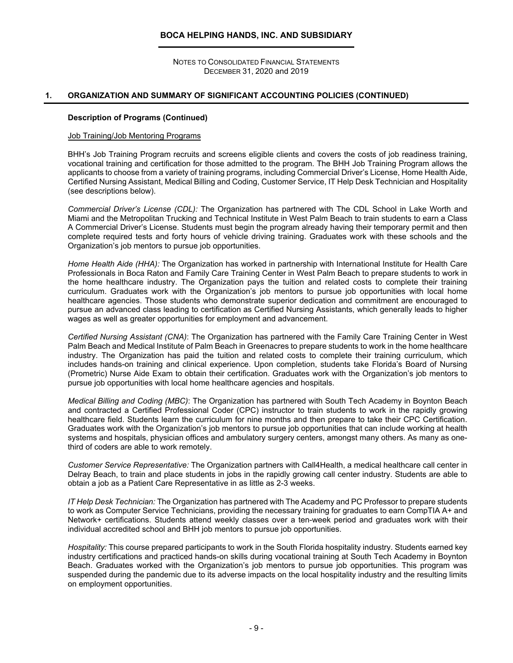NOTES TO CONSOLIDATED FINANCIAL STATEMENTS DECEMBER 31, 2020 and 2019

#### **1. ORGANIZATION AND SUMMARY OF SIGNIFICANT ACCOUNTING POLICIES (CONTINUED)**

#### **Description of Programs (Continued)**

#### Job Training/Job Mentoring Programs

BHH's Job Training Program recruits and screens eligible clients and covers the costs of job readiness training, vocational training and certification for those admitted to the program. The BHH Job Training Program allows the applicants to choose from a variety of training programs, including Commercial Driver's License, Home Health Aide, Certified Nursing Assistant, Medical Billing and Coding, Customer Service, IT Help Desk Technician and Hospitality (see descriptions below).

*Commercial Driver's License (CDL):* The Organization has partnered with The CDL School in Lake Worth and Miami and the Metropolitan Trucking and Technical Institute in West Palm Beach to train students to earn a Class A Commercial Driver's License. Students must begin the program already having their temporary permit and then complete required tests and forty hours of vehicle driving training. Graduates work with these schools and the Organization's job mentors to pursue job opportunities.

*Home Health Aide (HHA):* The Organization has worked in partnership with International Institute for Health Care Professionals in Boca Raton and Family Care Training Center in West Palm Beach to prepare students to work in the home healthcare industry. The Organization pays the tuition and related costs to complete their training curriculum. Graduates work with the Organization's job mentors to pursue job opportunities with local home healthcare agencies. Those students who demonstrate superior dedication and commitment are encouraged to pursue an advanced class leading to certification as Certified Nursing Assistants, which generally leads to higher wages as well as greater opportunities for employment and advancement.

*Certified Nursing Assistant (CNA)*: The Organization has partnered with the Family Care Training Center in West Palm Beach and Medical Institute of Palm Beach in Greenacres to prepare students to work in the home healthcare industry. The Organization has paid the tuition and related costs to complete their training curriculum, which includes hands-on training and clinical experience. Upon completion, students take Florida's Board of Nursing (Prometric) Nurse Aide Exam to obtain their certification. Graduates work with the Organization's job mentors to pursue job opportunities with local home healthcare agencies and hospitals.

*Medical Billing and Coding (MBC)*: The Organization has partnered with South Tech Academy in Boynton Beach and contracted a Certified Professional Coder (CPC) instructor to train students to work in the rapidly growing healthcare field. Students learn the curriculum for nine months and then prepare to take their CPC Certification. Graduates work with the Organization's job mentors to pursue job opportunities that can include working at health systems and hospitals, physician offices and ambulatory surgery centers, amongst many others. As many as onethird of coders are able to work remotely.

*Customer Service Representative:* The Organization partners with Call4Health, a medical healthcare call center in Delray Beach, to train and place students in jobs in the rapidly growing call center industry. Students are able to obtain a job as a Patient Care Representative in as little as 2-3 weeks.

*IT Help Desk Technician:* The Organization has partnered with The Academy and PC Professor to prepare students to work as Computer Service Technicians, providing the necessary training for graduates to earn CompTIA A+ and Network+ certifications. Students attend weekly classes over a ten-week period and graduates work with their individual accredited school and BHH job mentors to pursue job opportunities.

*Hospitality:* This course prepared participants to work in the South Florida hospitality industry. Students earned key industry certifications and practiced hands-on skills during vocational training at South Tech Academy in Boynton Beach. Graduates worked with the Organization's job mentors to pursue job opportunities. This program was suspended during the pandemic due to its adverse impacts on the local hospitality industry and the resulting limits on employment opportunities.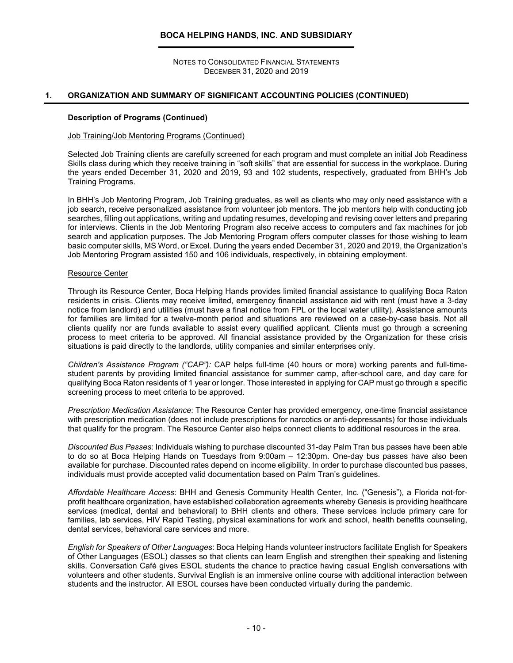NOTES TO CONSOLIDATED FINANCIAL STATEMENTS DECEMBER 31, 2020 and 2019

#### **1. ORGANIZATION AND SUMMARY OF SIGNIFICANT ACCOUNTING POLICIES (CONTINUED)**

#### **Description of Programs (Continued)**

#### Job Training/Job Mentoring Programs (Continued)

Selected Job Training clients are carefully screened for each program and must complete an initial Job Readiness Skills class during which they receive training in "soft skills" that are essential for success in the workplace. During the years ended December 31, 2020 and 2019, 93 and 102 students, respectively, graduated from BHH's Job Training Programs.

In BHH's Job Mentoring Program, Job Training graduates, as well as clients who may only need assistance with a job search, receive personalized assistance from volunteer job mentors. The job mentors help with conducting job searches, filling out applications, writing and updating resumes, developing and revising cover letters and preparing for interviews. Clients in the Job Mentoring Program also receive access to computers and fax machines for job search and application purposes. The Job Mentoring Program offers computer classes for those wishing to learn basic computer skills, MS Word, or Excel. During the years ended December 31, 2020 and 2019, the Organization's Job Mentoring Program assisted 150 and 106 individuals, respectively, in obtaining employment.

#### Resource Center

Through its Resource Center, Boca Helping Hands provides limited financial assistance to qualifying Boca Raton residents in crisis. Clients may receive limited, emergency financial assistance aid with rent (must have a 3-day notice from landlord) and utilities (must have a final notice from FPL or the local water utility). Assistance amounts for families are limited for a twelve-month period and situations are reviewed on a case-by-case basis. Not all clients qualify nor are funds available to assist every qualified applicant. Clients must go through a screening process to meet criteria to be approved. All financial assistance provided by the Organization for these crisis situations is paid directly to the landlords, utility companies and similar enterprises only.

*Children's Assistance Program ("CAP"):* CAP helps full-time (40 hours or more) working parents and full-timestudent parents by providing limited financial assistance for summer camp, after-school care, and day care for qualifying Boca Raton residents of 1 year or longer. Those interested in applying for CAP must go through a specific screening process to meet criteria to be approved.

*Prescription Medication Assistance*: The Resource Center has provided emergency, one-time financial assistance with prescription medication (does not include prescriptions for narcotics or anti-depressants) for those individuals that qualify for the program. The Resource Center also helps connect clients to additional resources in the area.

*Discounted Bus Passes*: Individuals wishing to purchase discounted 31-day Palm Tran bus passes have been able to do so at Boca Helping Hands on Tuesdays from 9:00am – 12:30pm. One-day bus passes have also been available for purchase. Discounted rates depend on income eligibility. In order to purchase discounted bus passes, individuals must provide accepted valid documentation based on Palm Tran's guidelines.

*Affordable Healthcare Access*: BHH and Genesis Community Health Center, Inc. ("Genesis"), a Florida not-forprofit healthcare organization, have established collaboration agreements whereby Genesis is providing healthcare services (medical, dental and behavioral) to BHH clients and others. These services include primary care for families, lab services, HIV Rapid Testing, physical examinations for work and school, health benefits counseling, dental services, behavioral care services and more.

*English for Speakers of Other Languages*: Boca Helping Hands volunteer instructors facilitate English for Speakers of Other Languages (ESOL) classes so that clients can learn English and strengthen their speaking and listening skills. Conversation Café gives ESOL students the chance to practice having casual English conversations with volunteers and other students. Survival English is an immersive online course with additional interaction between students and the instructor. All ESOL courses have been conducted virtually during the pandemic.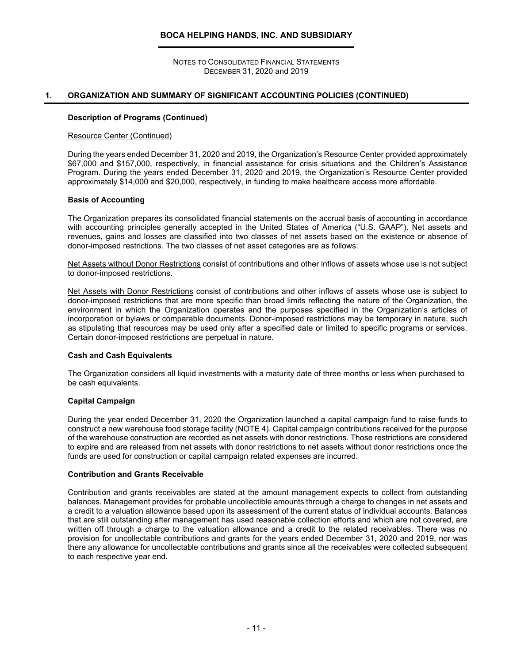NOTES TO CONSOLIDATED FINANCIAL STATEMENTS DECEMBER 31, 2020 and 2019

#### **1. ORGANIZATION AND SUMMARY OF SIGNIFICANT ACCOUNTING POLICIES (CONTINUED)**

#### **Description of Programs (Continued)**

#### Resource Center (Continued)

During the years ended December 31, 2020 and 2019, the Organization's Resource Center provided approximately \$67,000 and \$157,000, respectively, in financial assistance for crisis situations and the Children's Assistance Program. During the years ended December 31, 2020 and 2019, the Organization's Resource Center provided approximately \$14,000 and \$20,000, respectively, in funding to make healthcare access more affordable.

#### **Basis of Accounting**

The Organization prepares its consolidated financial statements on the accrual basis of accounting in accordance with accounting principles generally accepted in the United States of America ("U.S. GAAP"). Net assets and revenues, gains and losses are classified into two classes of net assets based on the existence or absence of donor-imposed restrictions. The two classes of net asset categories are as follows:

Net Assets without Donor Restrictions consist of contributions and other inflows of assets whose use is not subject to donor-imposed restrictions.

Net Assets with Donor Restrictions consist of contributions and other inflows of assets whose use is subject to donor-imposed restrictions that are more specific than broad limits reflecting the nature of the Organization, the environment in which the Organization operates and the purposes specified in the Organization's articles of incorporation or bylaws or comparable documents. Donor-imposed restrictions may be temporary in nature, such as stipulating that resources may be used only after a specified date or limited to specific programs or services. Certain donor-imposed restrictions are perpetual in nature.

#### **Cash and Cash Equivalents**

The Organization considers all liquid investments with a maturity date of three months or less when purchased to be cash equivalents.

#### **Capital Campaign**

During the year ended December 31, 2020 the Organization launched a capital campaign fund to raise funds to construct a new warehouse food storage facility (NOTE 4). Capital campaign contributions received for the purpose of the warehouse construction are recorded as net assets with donor restrictions. Those restrictions are considered to expire and are released from net assets with donor restrictions to net assets without donor restrictions once the funds are used for construction or capital campaign related expenses are incurred.

#### **Contribution and Grants Receivable**

Contribution and grants receivables are stated at the amount management expects to collect from outstanding balances. Management provides for probable uncollectible amounts through a charge to changes in net assets and a credit to a valuation allowance based upon its assessment of the current status of individual accounts. Balances that are still outstanding after management has used reasonable collection efforts and which are not covered, are written off through a charge to the valuation allowance and a credit to the related receivables. There was no provision for uncollectable contributions and grants for the years ended December 31, 2020 and 2019, nor was there any allowance for uncollectable contributions and grants since all the receivables were collected subsequent to each respective year end.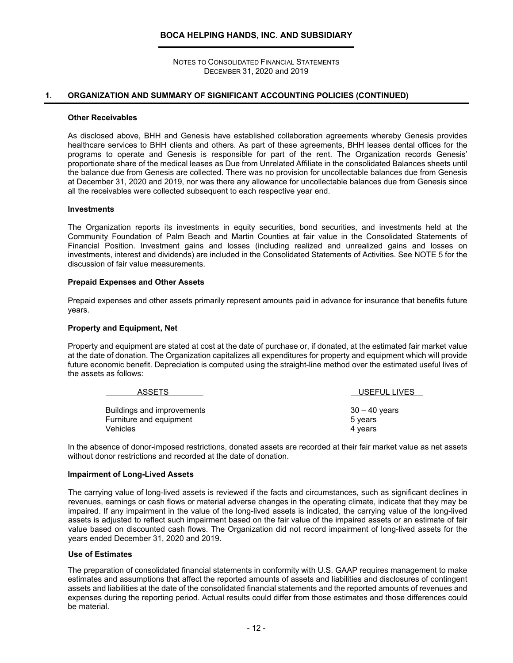NOTES TO CONSOLIDATED FINANCIAL STATEMENTS DECEMBER 31, 2020 and 2019

#### **1. ORGANIZATION AND SUMMARY OF SIGNIFICANT ACCOUNTING POLICIES (CONTINUED)**

#### **Other Receivables**

As disclosed above, BHH and Genesis have established collaboration agreements whereby Genesis provides healthcare services to BHH clients and others. As part of these agreements, BHH leases dental offices for the programs to operate and Genesis is responsible for part of the rent. The Organization records Genesis' proportionate share of the medical leases as Due from Unrelated Affiliate in the consolidated Balances sheets until the balance due from Genesis are collected. There was no provision for uncollectable balances due from Genesis at December 31, 2020 and 2019, nor was there any allowance for uncollectable balances due from Genesis since all the receivables were collected subsequent to each respective year end.

#### **Investments**

The Organization reports its investments in equity securities, bond securities, and investments held at the Community Foundation of Palm Beach and Martin Counties at fair value in the Consolidated Statements of Financial Position. Investment gains and losses (including realized and unrealized gains and losses on investments, interest and dividends) are included in the Consolidated Statements of Activities. See NOTE 5 for the discussion of fair value measurements.

#### **Prepaid Expenses and Other Assets**

Prepaid expenses and other assets primarily represent amounts paid in advance for insurance that benefits future years.

#### **Property and Equipment, Net**

Property and equipment are stated at cost at the date of purchase or, if donated, at the estimated fair market value at the date of donation. The Organization capitalizes all expenditures for property and equipment which will provide future economic benefit. Depreciation is computed using the straight-line method over the estimated useful lives of the assets as follows:

| ASSETS                     | USEFUL LIVES  |
|----------------------------|---------------|
|                            |               |
| Buildings and improvements | 30 – 40 vears |
| Furniture and equipment    | 5 vears       |
| Vehicles                   | 4 vears       |

In the absence of donor-imposed restrictions, donated assets are recorded at their fair market value as net assets without donor restrictions and recorded at the date of donation.

#### **Impairment of Long-Lived Assets**

The carrying value of long-lived assets is reviewed if the facts and circumstances, such as significant declines in revenues, earnings or cash flows or material adverse changes in the operating climate, indicate that they may be impaired. If any impairment in the value of the long-lived assets is indicated, the carrying value of the long-lived assets is adjusted to reflect such impairment based on the fair value of the impaired assets or an estimate of fair value based on discounted cash flows. The Organization did not record impairment of long-lived assets for the years ended December 31, 2020 and 2019.

#### **Use of Estimates**

The preparation of consolidated financial statements in conformity with U.S. GAAP requires management to make estimates and assumptions that affect the reported amounts of assets and liabilities and disclosures of contingent assets and liabilities at the date of the consolidated financial statements and the reported amounts of revenues and expenses during the reporting period. Actual results could differ from those estimates and those differences could be material.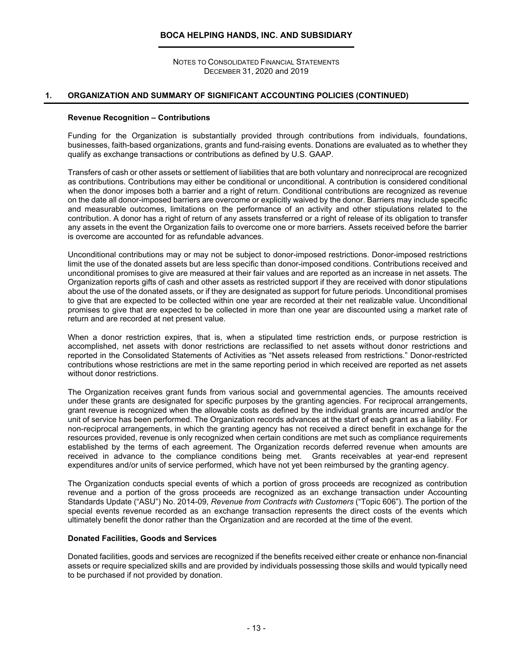NOTES TO CONSOLIDATED FINANCIAL STATEMENTS DECEMBER 31, 2020 and 2019

#### **1. ORGANIZATION AND SUMMARY OF SIGNIFICANT ACCOUNTING POLICIES (CONTINUED)**

#### **Revenue Recognition – Contributions**

Funding for the Organization is substantially provided through contributions from individuals, foundations, businesses, faith-based organizations, grants and fund-raising events. Donations are evaluated as to whether they qualify as exchange transactions or contributions as defined by U.S. GAAP.

Transfers of cash or other assets or settlement of liabilities that are both voluntary and nonreciprocal are recognized as contributions. Contributions may either be conditional or unconditional. A contribution is considered conditional when the donor imposes both a barrier and a right of return. Conditional contributions are recognized as revenue on the date all donor-imposed barriers are overcome or explicitly waived by the donor. Barriers may include specific and measurable outcomes, limitations on the performance of an activity and other stipulations related to the contribution. A donor has a right of return of any assets transferred or a right of release of its obligation to transfer any assets in the event the Organization fails to overcome one or more barriers. Assets received before the barrier is overcome are accounted for as refundable advances.

Unconditional contributions may or may not be subject to donor-imposed restrictions. Donor-imposed restrictions limit the use of the donated assets but are less specific than donor-imposed conditions. Contributions received and unconditional promises to give are measured at their fair values and are reported as an increase in net assets. The Organization reports gifts of cash and other assets as restricted support if they are received with donor stipulations about the use of the donated assets, or if they are designated as support for future periods. Unconditional promises to give that are expected to be collected within one year are recorded at their net realizable value. Unconditional promises to give that are expected to be collected in more than one year are discounted using a market rate of return and are recorded at net present value.

When a donor restriction expires, that is, when a stipulated time restriction ends, or purpose restriction is accomplished, net assets with donor restrictions are reclassified to net assets without donor restrictions and reported in the Consolidated Statements of Activities as "Net assets released from restrictions." Donor-restricted contributions whose restrictions are met in the same reporting period in which received are reported as net assets without donor restrictions.

The Organization receives grant funds from various social and governmental agencies. The amounts received under these grants are designated for specific purposes by the granting agencies. For reciprocal arrangements, grant revenue is recognized when the allowable costs as defined by the individual grants are incurred and/or the unit of service has been performed. The Organization records advances at the start of each grant as a liability. For non-reciprocal arrangements, in which the granting agency has not received a direct benefit in exchange for the resources provided, revenue is only recognized when certain conditions are met such as compliance requirements established by the terms of each agreement. The Organization records deferred revenue when amounts are received in advance to the compliance conditions being met. Grants receivables at year-end represent expenditures and/or units of service performed, which have not yet been reimbursed by the granting agency.

The Organization conducts special events of which a portion of gross proceeds are recognized as contribution revenue and a portion of the gross proceeds are recognized as an exchange transaction under Accounting Standards Update ("ASU") No. 2014-09, *Revenue from Contracts with Customers* ("Topic 606"). The portion of the special events revenue recorded as an exchange transaction represents the direct costs of the events which ultimately benefit the donor rather than the Organization and are recorded at the time of the event.

#### **Donated Facilities, Goods and Services**

Donated facilities, goods and services are recognized if the benefits received either create or enhance non-financial assets or require specialized skills and are provided by individuals possessing those skills and would typically need to be purchased if not provided by donation.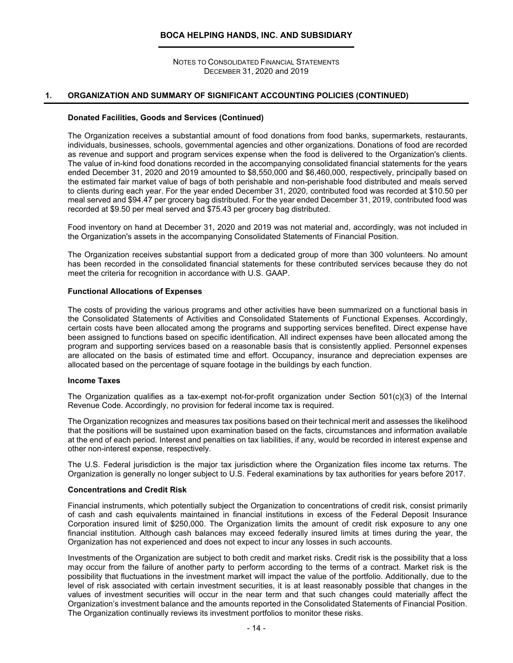NOTES TO CONSOLIDATED FINANCIAL STATEMENTS DECEMBER 31, 2020 and 2019

#### **1. ORGANIZATION AND SUMMARY OF SIGNIFICANT ACCOUNTING POLICIES (CONTINUED)**

#### **Donated Facilities, Goods and Services (Continued)**

The Organization receives a substantial amount of food donations from food banks, supermarkets, restaurants, individuals, businesses, schools, governmental agencies and other organizations. Donations of food are recorded as revenue and support and program services expense when the food is delivered to the Organization's clients. The value of in-kind food donations recorded in the accompanying consolidated financial statements for the years ended December 31, 2020 and 2019 amounted to \$8,550,000 and \$6,460,000, respectively, principally based on the estimated fair market value of bags of both perishable and non-perishable food distributed and meals served to clients during each year. For the year ended December 31, 2020, contributed food was recorded at \$10.50 per meal served and \$94.47 per grocery bag distributed. For the year ended December 31, 2019, contributed food was recorded at \$9.50 per meal served and \$75.43 per grocery bag distributed.

Food inventory on hand at December 31, 2020 and 2019 was not material and, accordingly, was not included in the Organization's assets in the accompanying Consolidated Statements of Financial Position.

The Organization receives substantial support from a dedicated group of more than 300 volunteers. No amount has been recorded in the consolidated financial statements for these contributed services because they do not meet the criteria for recognition in accordance with U.S. GAAP.

#### **Functional Allocations of Expenses**

The costs of providing the various programs and other activities have been summarized on a functional basis in the Consolidated Statements of Activities and Consolidated Statements of Functional Expenses. Accordingly, certain costs have been allocated among the programs and supporting services benefited. Direct expense have been assigned to functions based on specific identification. All indirect expenses have been allocated among the program and supporting services based on a reasonable basis that is consistently applied. Personnel expenses are allocated on the basis of estimated time and effort. Occupancy, insurance and depreciation expenses are allocated based on the percentage of square footage in the buildings by each function.

#### **Income Taxes**

The Organization qualifies as a tax-exempt not-for-profit organization under Section 501(c)(3) of the Internal Revenue Code. Accordingly, no provision for federal income tax is required.

The Organization recognizes and measures tax positions based on their technical merit and assesses the likelihood that the positions will be sustained upon examination based on the facts, circumstances and information available at the end of each period. Interest and penalties on tax liabilities, if any, would be recorded in interest expense and other non-interest expense, respectively.

The U.S. Federal jurisdiction is the major tax jurisdiction where the Organization files income tax returns. The Organization is generally no longer subject to U.S. Federal examinations by tax authorities for years before 2017.

#### **Concentrations and Credit Risk**

Financial instruments, which potentially subject the Organization to concentrations of credit risk, consist primarily of cash and cash equivalents maintained in financial institutions in excess of the Federal Deposit Insurance Corporation insured limit of \$250,000. The Organization limits the amount of credit risk exposure to any one financial institution. Although cash balances may exceed federally insured limits at times during the year, the Organization has not experienced and does not expect to incur any losses in such accounts.

Investments of the Organization are subject to both credit and market risks. Credit risk is the possibility that a loss may occur from the failure of another party to perform according to the terms of a contract. Market risk is the possibility that fluctuations in the investment market will impact the value of the portfolio. Additionally, due to the level of risk associated with certain investment securities, it is at least reasonably possible that changes in the values of investment securities will occur in the near term and that such changes could materially affect the Organization's investment balance and the amounts reported in the Consolidated Statements of Financial Position. The Organization continually reviews its investment portfolios to monitor these risks.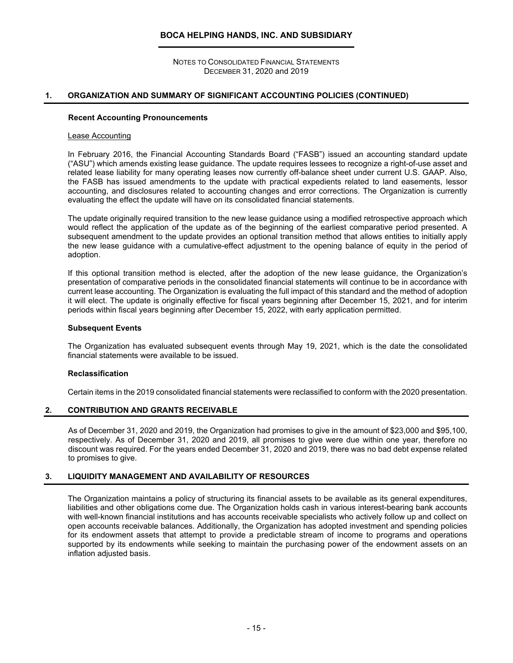NOTES TO CONSOLIDATED FINANCIAL STATEMENTS DECEMBER 31, 2020 and 2019

#### **1. ORGANIZATION AND SUMMARY OF SIGNIFICANT ACCOUNTING POLICIES (CONTINUED)**

#### **Recent Accounting Pronouncements**

#### Lease Accounting

In February 2016, the Financial Accounting Standards Board ("FASB") issued an accounting standard update ("ASU") which amends existing lease guidance. The update requires lessees to recognize a right-of-use asset and related lease liability for many operating leases now currently off-balance sheet under current U.S. GAAP. Also, the FASB has issued amendments to the update with practical expedients related to land easements, lessor accounting, and disclosures related to accounting changes and error corrections. The Organization is currently evaluating the effect the update will have on its consolidated financial statements.

The update originally required transition to the new lease guidance using a modified retrospective approach which would reflect the application of the update as of the beginning of the earliest comparative period presented. A subsequent amendment to the update provides an optional transition method that allows entities to initially apply the new lease guidance with a cumulative-effect adjustment to the opening balance of equity in the period of adoption.

If this optional transition method is elected, after the adoption of the new lease guidance, the Organization's presentation of comparative periods in the consolidated financial statements will continue to be in accordance with current lease accounting. The Organization is evaluating the full impact of this standard and the method of adoption it will elect. The update is originally effective for fiscal years beginning after December 15, 2021, and for interim periods within fiscal years beginning after December 15, 2022, with early application permitted.

#### **Subsequent Events**

The Organization has evaluated subsequent events through May 19, 2021, which is the date the consolidated financial statements were available to be issued.

#### **Reclassification**

Certain items in the 2019 consolidated financial statements were reclassified to conform with the 2020 presentation.

#### **2. CONTRIBUTION AND GRANTS RECEIVABLE**

As of December 31, 2020 and 2019, the Organization had promises to give in the amount of \$23,000 and \$95,100, respectively. As of December 31, 2020 and 2019, all promises to give were due within one year, therefore no discount was required. For the years ended December 31, 2020 and 2019, there was no bad debt expense related to promises to give.

#### **3. LIQUIDITY MANAGEMENT AND AVAILABILITY OF RESOURCES**

The Organization maintains a policy of structuring its financial assets to be available as its general expenditures, liabilities and other obligations come due. The Organization holds cash in various interest-bearing bank accounts with well-known financial institutions and has accounts receivable specialists who actively follow up and collect on open accounts receivable balances. Additionally, the Organization has adopted investment and spending policies for its endowment assets that attempt to provide a predictable stream of income to programs and operations supported by its endowments while seeking to maintain the purchasing power of the endowment assets on an inflation adjusted basis.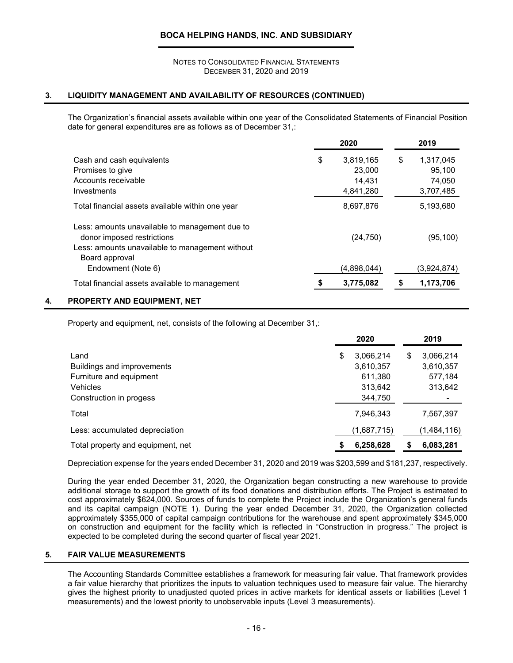#### NOTES TO CONSOLIDATED FINANCIAL STATEMENTS DECEMBER 31, 2020 and 2019

#### **3. LIQUIDITY MANAGEMENT AND AVAILABILITY OF RESOURCES (CONTINUED)**

The Organization's financial assets available within one year of the Consolidated Statements of Financial Position date for general expenditures are as follows as of December 31,:

|                                                                                                                                 | 2020 |                                            |    | 2019                                       |  |  |
|---------------------------------------------------------------------------------------------------------------------------------|------|--------------------------------------------|----|--------------------------------------------|--|--|
| Cash and cash equivalents<br>Promises to give<br>Accounts receivable<br>Investments                                             | \$   | 3,819,165<br>23,000<br>14,431<br>4,841,280 | \$ | 1,317,045<br>95.100<br>74,050<br>3,707,485 |  |  |
| Total financial assets available within one year                                                                                |      | 8,697,876                                  |    | 5,193,680                                  |  |  |
| Less: amounts unavailable to management due to<br>donor imposed restrictions<br>Less: amounts unavailable to management without |      | (24, 750)                                  |    | (95, 100)                                  |  |  |
| Board approval<br>Endowment (Note 6)<br>Total financial assets available to management                                          |      | (4,898,044)<br>3,775,082                   | S  | (3,924,874)<br>1,173,706                   |  |  |

#### **4. PROPERTY AND EQUIPMENT, NET**

Property and equipment, net, consists of the following at December 31,:

|                                   | 2020            | 2019            |
|-----------------------------------|-----------------|-----------------|
| Land                              | \$<br>3,066,214 | \$<br>3,066,214 |
| Buildings and improvements        | 3,610,357       | 3,610,357       |
| Furniture and equipment           | 611,380         | 577,184         |
| Vehicles                          | 313,642         | 313,642         |
| Construction in progess           | 344,750         |                 |
| Total                             | 7,946,343       | 7,567,397       |
| Less: accumulated depreciation    | (1,687,715)     | (1,484,116)     |
| Total property and equipment, net | 6,258,628       | 6,083,281       |

Depreciation expense for the years ended December 31, 2020 and 2019 was \$203,599 and \$181,237, respectively.

During the year ended December 31, 2020, the Organization began constructing a new warehouse to provide additional storage to support the growth of its food donations and distribution efforts. The Project is estimated to cost approximately \$624,000. Sources of funds to complete the Project include the Organization's general funds and its capital campaign (NOTE 1). During the year ended December 31, 2020, the Organization collected approximately \$355,000 of capital campaign contributions for the warehouse and spent approximately \$345,000 on construction and equipment for the facility which is reflected in "Construction in progress." The project is expected to be completed during the second quarter of fiscal year 2021.

#### **5. FAIR VALUE MEASUREMENTS**

The Accounting Standards Committee establishes a framework for measuring fair value. That framework provides a fair value hierarchy that prioritizes the inputs to valuation techniques used to measure fair value. The hierarchy gives the highest priority to unadjusted quoted prices in active markets for identical assets or liabilities (Level 1 measurements) and the lowest priority to unobservable inputs (Level 3 measurements).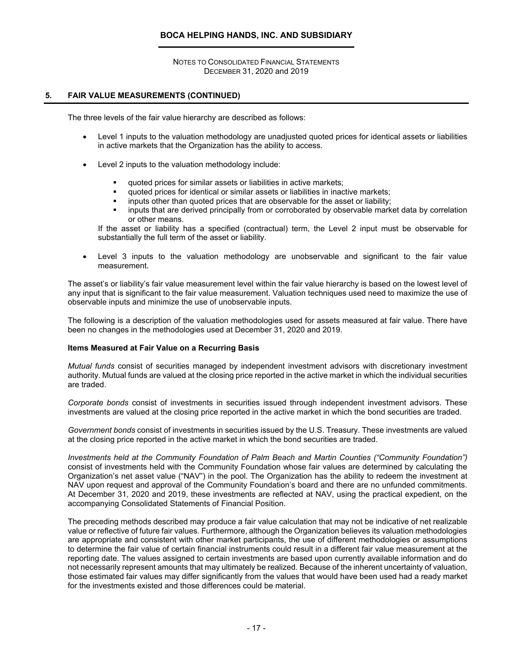NOTES TO CONSOLIDATED FINANCIAL STATEMENTS DECEMBER 31, 2020 and 2019

#### **5. FAIR VALUE MEASUREMENTS (CONTINUED)**

The three levels of the fair value hierarchy are described as follows:

- Level 1 inputs to the valuation methodology are unadjusted quoted prices for identical assets or liabilities in active markets that the Organization has the ability to access.
- Level 2 inputs to the valuation methodology include:
	- quoted prices for similar assets or liabilities in active markets;
	- quoted prices for identical or similar assets or liabilities in inactive markets;
	- inputs other than quoted prices that are observable for the asset or liability;
	- inputs that are derived principally from or corroborated by observable market data by correlation or other means.

If the asset or liability has a specified (contractual) term, the Level 2 input must be observable for substantially the full term of the asset or liability.

 Level 3 inputs to the valuation methodology are unobservable and significant to the fair value measurement.

The asset's or liability's fair value measurement level within the fair value hierarchy is based on the lowest level of any input that is significant to the fair value measurement. Valuation techniques used need to maximize the use of observable inputs and minimize the use of unobservable inputs.

The following is a description of the valuation methodologies used for assets measured at fair value. There have been no changes in the methodologies used at December 31, 2020 and 2019.

#### **Items Measured at Fair Value on a Recurring Basis**

*Mutual funds* consist of securities managed by independent investment advisors with discretionary investment authority. Mutual funds are valued at the closing price reported in the active market in which the individual securities are traded.

*Corporate bonds* consist of investments in securities issued through independent investment advisors. These investments are valued at the closing price reported in the active market in which the bond securities are traded.

*Government bonds* consist of investments in securities issued by the U.S. Treasury. These investments are valued at the closing price reported in the active market in which the bond securities are traded.

*Investments held at the Community Foundation of Palm Beach and Martin Counties ("Community Foundation")*  consist of investments held with the Community Foundation whose fair values are determined by calculating the Organization's net asset value ("NAV") in the pool. The Organization has the ability to redeem the investment at NAV upon request and approval of the Community Foundation's board and there are no unfunded commitments. At December 31, 2020 and 2019, these investments are reflected at NAV, using the practical expedient, on the accompanying Consolidated Statements of Financial Position.

The preceding methods described may produce a fair value calculation that may not be indicative of net realizable value or reflective of future fair values. Furthermore, although the Organization believes its valuation methodologies are appropriate and consistent with other market participants, the use of different methodologies or assumptions to determine the fair value of certain financial instruments could result in a different fair value measurement at the reporting date. The values assigned to certain investments are based upon currently available information and do not necessarily represent amounts that may ultimately be realized. Because of the inherent uncertainty of valuation, those estimated fair values may differ significantly from the values that would have been used had a ready market for the investments existed and those differences could be material.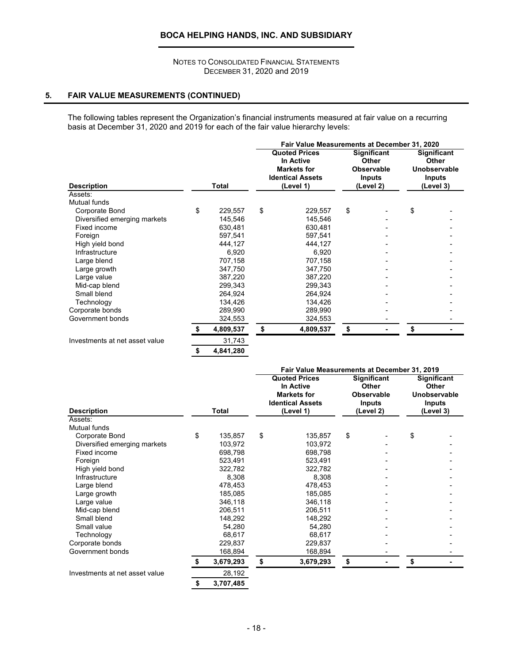#### NOTES TO CONSOLIDATED FINANCIAL STATEMENTS DECEMBER 31, 2020 and 2019

#### **5. FAIR VALUE MEASUREMENTS (CONTINUED)**

The following tables represent the Organization's financial instruments measured at fair value on a recurring basis at December 31, 2020 and 2019 for each of the fair value hierarchy levels:

|                                |                 | Fair Value Measurements at December 31, 2020                                                    |                                                                                       |                                                                                  |  |
|--------------------------------|-----------------|-------------------------------------------------------------------------------------------------|---------------------------------------------------------------------------------------|----------------------------------------------------------------------------------|--|
| <b>Description</b>             | Total           | <b>Quoted Prices</b><br>In Active<br><b>Markets for</b><br><b>Identical Assets</b><br>(Level 1) | <b>Significant</b><br><b>Other</b><br><b>Observable</b><br><b>Inputs</b><br>(Level 2) | <b>Significant</b><br><b>Other</b><br>Unobservable<br><b>Inputs</b><br>(Level 3) |  |
| Assets:                        |                 |                                                                                                 |                                                                                       |                                                                                  |  |
| Mutual funds                   |                 |                                                                                                 |                                                                                       |                                                                                  |  |
| Corporate Bond                 | \$<br>229,557   | \$<br>229,557                                                                                   | \$                                                                                    | \$                                                                               |  |
| Diversified emerging markets   | 145,546         | 145,546                                                                                         |                                                                                       |                                                                                  |  |
| Fixed income                   | 630,481         | 630,481                                                                                         |                                                                                       |                                                                                  |  |
| Foreign                        | 597,541         | 597,541                                                                                         |                                                                                       |                                                                                  |  |
| High yield bond                | 444,127         | 444,127                                                                                         |                                                                                       |                                                                                  |  |
| Infrastructure                 | 6,920           | 6,920                                                                                           |                                                                                       |                                                                                  |  |
| Large blend                    | 707,158         | 707,158                                                                                         |                                                                                       |                                                                                  |  |
| Large growth                   | 347,750         | 347,750                                                                                         |                                                                                       |                                                                                  |  |
| Large value                    | 387,220         | 387,220                                                                                         |                                                                                       |                                                                                  |  |
| Mid-cap blend                  | 299,343         | 299,343                                                                                         |                                                                                       |                                                                                  |  |
| Small blend                    | 264,924         | 264,924                                                                                         |                                                                                       |                                                                                  |  |
| Technology                     | 134,426         | 134,426                                                                                         |                                                                                       |                                                                                  |  |
| Corporate bonds                | 289,990         | 289,990                                                                                         |                                                                                       |                                                                                  |  |
| Government bonds               | 324,553         | 324,553                                                                                         |                                                                                       |                                                                                  |  |
|                                | 4,809,537       | \$<br>4,809,537                                                                                 | \$                                                                                    | \$                                                                               |  |
| Investments at net asset value | 31,743          |                                                                                                 |                                                                                       |                                                                                  |  |
|                                | \$<br>4,841,280 |                                                                                                 |                                                                                       |                                                                                  |  |

|                                |                 | Fair Value Measurements at December 31, 2019                                                    |                                                                         |                                                                                  |  |
|--------------------------------|-----------------|-------------------------------------------------------------------------------------------------|-------------------------------------------------------------------------|----------------------------------------------------------------------------------|--|
| <b>Description</b>             | <b>Total</b>    | <b>Quoted Prices</b><br>In Active<br><b>Markets for</b><br><b>Identical Assets</b><br>(Level 1) | <b>Significant</b><br>Other<br>Observable<br><b>Inputs</b><br>(Level 2) | <b>Significant</b><br><b>Other</b><br>Unobservable<br><b>Inputs</b><br>(Level 3) |  |
| Assets:                        |                 |                                                                                                 |                                                                         |                                                                                  |  |
| Mutual funds                   |                 |                                                                                                 |                                                                         |                                                                                  |  |
| Corporate Bond                 | \$<br>135,857   | \$<br>135,857                                                                                   | \$                                                                      | \$                                                                               |  |
| Diversified emerging markets   | 103,972         | 103,972                                                                                         |                                                                         |                                                                                  |  |
| Fixed income                   | 698,798         | 698,798                                                                                         |                                                                         |                                                                                  |  |
| Foreign                        | 523,491         | 523,491                                                                                         |                                                                         |                                                                                  |  |
| High yield bond                | 322,782         | 322,782                                                                                         |                                                                         |                                                                                  |  |
| Infrastructure                 | 8,308           | 8,308                                                                                           |                                                                         |                                                                                  |  |
| Large blend                    | 478,453         | 478,453                                                                                         |                                                                         |                                                                                  |  |
| Large growth                   | 185,085         | 185,085                                                                                         |                                                                         |                                                                                  |  |
| Large value                    | 346,118         | 346,118                                                                                         |                                                                         |                                                                                  |  |
| Mid-cap blend                  | 206,511         | 206,511                                                                                         |                                                                         |                                                                                  |  |
| Small blend                    | 148,292         | 148,292                                                                                         |                                                                         |                                                                                  |  |
| Small value                    | 54,280          | 54,280                                                                                          |                                                                         |                                                                                  |  |
| Technology                     | 68,617          | 68,617                                                                                          |                                                                         |                                                                                  |  |
| Corporate bonds                | 229,837         | 229,837                                                                                         |                                                                         |                                                                                  |  |
| Government bonds               | 168,894         | 168,894                                                                                         |                                                                         |                                                                                  |  |
|                                | \$<br>3,679,293 | \$<br>3,679,293                                                                                 | \$                                                                      | \$                                                                               |  |
| Investments at net asset value | 28,192          |                                                                                                 |                                                                         |                                                                                  |  |
|                                | \$<br>3,707,485 |                                                                                                 |                                                                         |                                                                                  |  |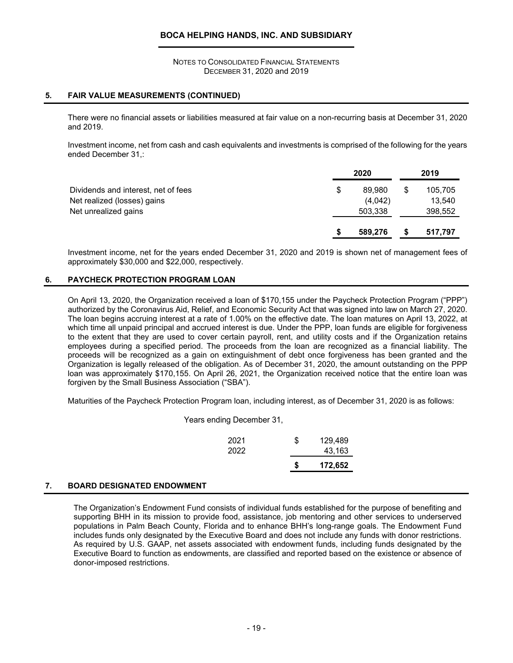NOTES TO CONSOLIDATED FINANCIAL STATEMENTS DECEMBER 31, 2020 and 2019

#### **5. FAIR VALUE MEASUREMENTS (CONTINUED)**

There were no financial assets or liabilities measured at fair value on a non-recurring basis at December 31, 2020 and 2019.

Investment income, net from cash and cash equivalents and investments is comprised of the following for the years ended December 31,:

|                                     | 2020 |         |    | 2019    |
|-------------------------------------|------|---------|----|---------|
| Dividends and interest, net of fees | S    | 89.980  | \$ | 105,705 |
| Net realized (losses) gains         |      | (4,042) |    | 13.540  |
| Net unrealized gains                |      | 503,338 |    | 398,552 |
|                                     |      | 589,276 |    | 517,797 |

Investment income, net for the years ended December 31, 2020 and 2019 is shown net of management fees of approximately \$30,000 and \$22,000, respectively.

#### **6. PAYCHECK PROTECTION PROGRAM LOAN**

On April 13, 2020, the Organization received a loan of \$170,155 under the Paycheck Protection Program ("PPP") authorized by the Coronavirus Aid, Relief, and Economic Security Act that was signed into law on March 27, 2020. The loan begins accruing interest at a rate of 1.00% on the effective date. The loan matures on April 13, 2022, at which time all unpaid principal and accrued interest is due. Under the PPP, loan funds are eligible for forgiveness to the extent that they are used to cover certain payroll, rent, and utility costs and if the Organization retains employees during a specified period. The proceeds from the loan are recognized as a financial liability. The proceeds will be recognized as a gain on extinguishment of debt once forgiveness has been granted and the Organization is legally released of the obligation. As of December 31, 2020, the amount outstanding on the PPP loan was approximately \$170,155. On April 26, 2021, the Organization received notice that the entire loan was forgiven by the Small Business Association ("SBA").

Maturities of the Paycheck Protection Program loan, including interest, as of December 31, 2020 is as follows:

| Years ending December 31, |   |         |
|---------------------------|---|---------|
| 2021                      | S | 129,489 |
| 2022                      |   | 43,163  |
|                           |   | 172,652 |

#### **7. BOARD DESIGNATED ENDOWMENT**

The Organization's Endowment Fund consists of individual funds established for the purpose of benefiting and supporting BHH in its mission to provide food, assistance, job mentoring and other services to underserved populations in Palm Beach County, Florida and to enhance BHH's long-range goals. The Endowment Fund includes funds only designated by the Executive Board and does not include any funds with donor restrictions. As required by U.S. GAAP, net assets associated with endowment funds, including funds designated by the Executive Board to function as endowments, are classified and reported based on the existence or absence of donor-imposed restrictions.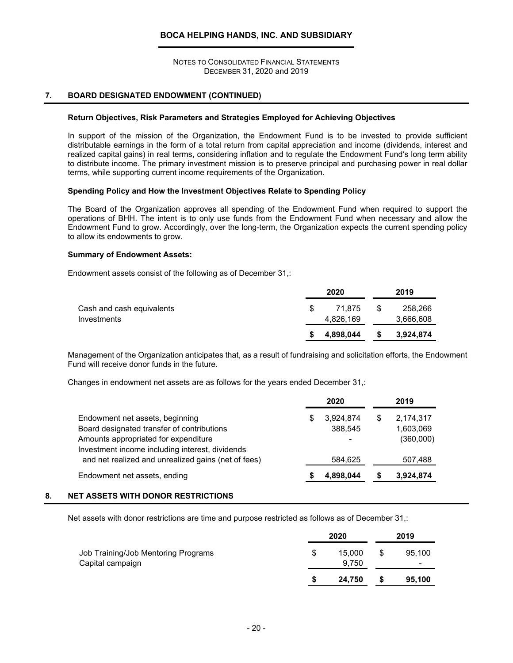#### NOTES TO CONSOLIDATED FINANCIAL STATEMENTS DECEMBER 31, 2020 and 2019

#### **7. BOARD DESIGNATED ENDOWMENT (CONTINUED)**

#### **Return Objectives, Risk Parameters and Strategies Employed for Achieving Objectives**

In support of the mission of the Organization, the Endowment Fund is to be invested to provide sufficient distributable earnings in the form of a total return from capital appreciation and income (dividends, interest and realized capital gains) in real terms, considering inflation and to regulate the Endowment Fund's long term ability to distribute income. The primary investment mission is to preserve principal and purchasing power in real dollar terms, while supporting current income requirements of the Organization.

#### **Spending Policy and How the Investment Objectives Relate to Spending Policy**

The Board of the Organization approves all spending of the Endowment Fund when required to support the operations of BHH. The intent is to only use funds from the Endowment Fund when necessary and allow the Endowment Fund to grow. Accordingly, over the long-term, the Organization expects the current spending policy to allow its endowments to grow.

#### **Summary of Endowment Assets:**

Endowment assets consist of the following as of December 31,:

|                           | 2020      |    | 2019      |
|---------------------------|-----------|----|-----------|
| Cash and cash equivalents | 71.875    | S  | 258.266   |
| Investments               | 4,826,169 |    | 3,666,608 |
|                           | 4,898,044 | \$ | 3,924,874 |

Management of the Organization anticipates that, as a result of fundraising and solicitation efforts, the Endowment Fund will receive donor funds in the future.

Changes in endowment net assets are as follows for the years ended December 31,:

|   | 2020      |   | 2019      |
|---|-----------|---|-----------|
| S | 3,924,874 | S | 2,174,317 |
|   | 388,545   |   | 1,603,069 |
|   |           |   | (360,000) |
|   |           |   |           |
|   | 584,625   |   | 507,488   |
|   | 4,898,044 |   | 3,924,874 |
|   |           |   |           |

#### **8. NET ASSETS WITH DONOR RESTRICTIONS**

Net assets with donor restrictions are time and purpose restricted as follows as of December 31,:

|                                                         |   | 2020            | 2019              |
|---------------------------------------------------------|---|-----------------|-------------------|
| Job Training/Job Mentoring Programs<br>Capital campaign | S | 15.000<br>9,750 | \$<br>95,100<br>- |
|                                                         |   | 24,750          | 95,100            |